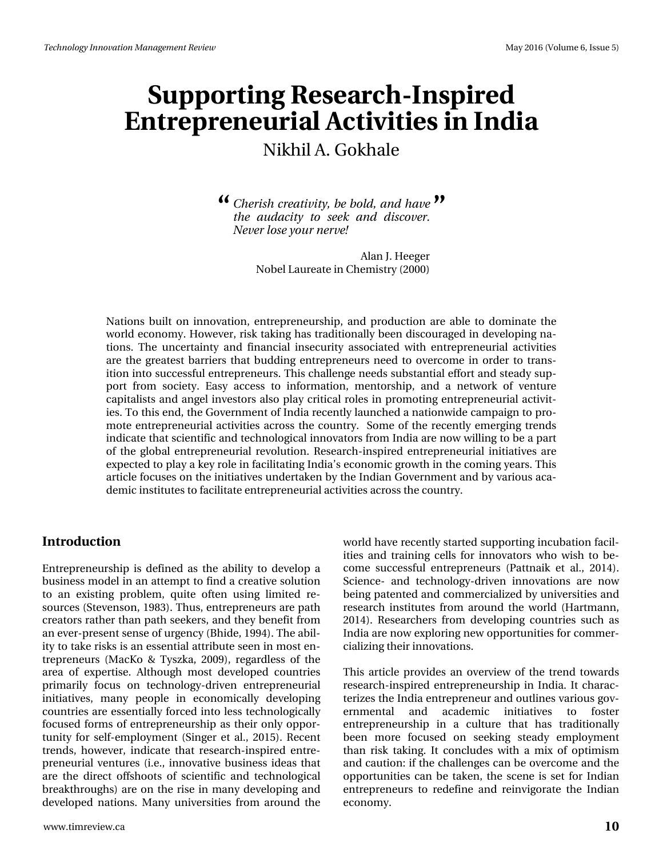# **Supporting Research-Inspired Entrepreneurial Activities in India**

Nikhil A. Gokhale

*Cherish creativity, be bold, and have* **" "***the audacity to seek and discover. Never lose your nerve!*

> Alan J. Heeger Nobel Laureate in Chemistry (2000)

Nations built on innovation, entrepreneurship, and production are able to dominate the world economy. However, risk taking has traditionally been discouraged in developing nations. The uncertainty and financial insecurity associated with entrepreneurial activities are the greatest barriers that budding entrepreneurs need to overcome in order to transition into successful entrepreneurs. This challenge needs substantial effort and steady support from society. Easy access to information, mentorship, and a network of venture capitalists and angel investors also play critical roles in promoting entrepreneurial activities. To this end, the Government of India recently launched a nationwide campaign to promote entrepreneurial activities across the country. Some of the recently emerging trends indicate that scientific and technological innovators from India are now willing to be a part of the global entrepreneurial revolution. Research-inspired entrepreneurial initiatives are expected to play a key role in facilitating India's economic growth in the coming years. This article focuses on the initiatives undertaken by the Indian Government and by various academic institutes to facilitate entrepreneurial activities across the country.

#### **Introduction**

Entrepreneurship is defined as the ability to develop a business model in an attempt to find a creative solution to an existing problem, quite often using limited resources (Stevenson, 1983). Thus, entrepreneurs are path creators rather than path seekers, and they benefit from an ever-present sense of urgency (Bhide, 1994). The ability to take risks is an essential attribute seen in most entrepreneurs (MacKo & Tyszka, 2009), regardless of the area of expertise. Although most developed countries primarily focus on technology-driven entrepreneurial initiatives, many people in economically developing countries are essentially forced into less technologically focused forms of entrepreneurship as their only opportunity for self-employment (Singer et al., 2015). Recent trends, however, indicate that research-inspired entrepreneurial ventures (i.e., innovative business ideas that are the direct offshoots of scientific and technological breakthroughs) are on the rise in many developing and developed nations. Many universities from around the

world have recently started supporting incubation facilities and training cells for innovators who wish to become successful entrepreneurs (Pattnaik et al., 2014). Science- and technology-driven innovations are now being patented and commercialized by universities and research institutes from around the world (Hartmann, 2014). Researchers from developing countries such as India are now exploring new opportunities for commercializing their innovations.

This article provides an overview of the trend towards research-inspired entrepreneurship in India. It characterizes the India entrepreneur and outlines various governmental and academic initiatives to foster entrepreneurship in a culture that has traditionally been more focused on seeking steady employment than risk taking. It concludes with a mix of optimism and caution: if the challenges can be overcome and the opportunities can be taken, the scene is set for Indian entrepreneurs to redefine and reinvigorate the Indian economy.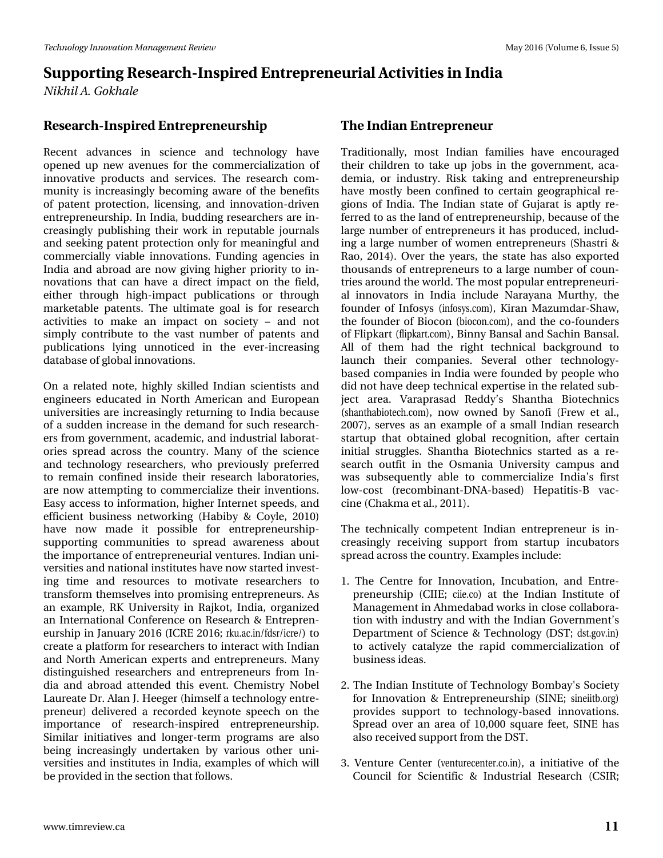# Vxssruwgi#Uhvhdufk0Lqvsluhg#Hqwuhsuhqhxuldo#Dfwlylwhv#q#Lqqld Qinkid 1011 th kddn

## Uhvhduf k OLg vs l uhg#Hg wins uhg hx uvk Is

Uhf hqw# dgydqf hv# lq# vf lhqf h# dqg# whf kqr  $\sigma$  j | # kdyh# rshqhq#xs#qhz#dyhqxhv#iru#wkh#frpphufldd}dwrq#ri# lqqr ydwyh#sur gxf w#dqg#vhuylf hv#Wkh#uhvhduf k#frp 0 p xqlw|#lv#lqfuhdvlqjd|#ehfrplqj#dzduh#ri#wkh#ehqhilw# ri#sdwhqw#surwhfwlrq/#dfhqvlqj/#dqg#lqqrydwlrq0gulyhq# hqwhsuhqhxuxkls#Lq#Lqqld/#exgqlqj#Lhvhdufkhuv#duh#q0 fuhdvigjoj#sxedvkigj#wkhlu#zrun#iq#uhsxwdeoh#mxuqdov# dqg#vhhnlqj#sdwhqw#surwhfwlrq#rqq|#lru#phdqlqjixo#dqg# frpp hufldool#yldeoh#lqqrydwirqv##xqglqj#djhqflhv#lq# Lagid#dqg#deurdg#duh#qrz#jlylqj#kljkhu#sulrulw|#wr#lq0 qrydwlrqv#wkdw#fdq#kdyh#d#gluhfw#lpsdfw#rq#wkh#ilhog/# hlwkhu#wkurxjk#kljk0lpsdfw#sxeolfdwlrqv#ru#wkurxjk# p dunhwdedn#sdwhqwr#Wkh#xowlp dwh#jrdc#lv#iru#uhvhdufk# df wlylwhv#wr#p dnh#dq#lp sdfw#rq#vrflhw|#'#dqg#qrw# vlp sq #f r qwdexwh#wr#wkh#ydvw#qxp ehu#ri#sdwhqw#dqg# sxedf dwr gy#d lgj #xggr wf hg#lg#wkh#hyhuOlgf uhdvlgj # gdwdedyh#i#oredd#qqrydwlrqv1#

Rq#d#uhodwhg#qrwh/#kljkoj#vnloohg#Lqgldq#vflhqwww#dqg# hqj lqhhuv#hgxfdwhg#lq#Qruwk#Dp hulfdq#dqg#Hxurshdq# xqlyhuvlwhv#duh#qfuhdvlqjq #uhwsuqlqj#wr#Lqgld#ehfdxvh# ri#d#vxgghq#qfuhdvh#q#wkh#ghpdqg#ru#vxfk#uhvhdufk0 huv#urp#ryhuqphqw/#dfdghplf/#dqg#qgxwwldd#oderudw0 r ulhv#vsuhdg#df ur vv#vkh#fr x q vul 1#P dq| #r i #vkh#vf lhqf h# dqg#whfkqrorj | #uhvhdufkhuv/#zkr#suhylrxvoj#suhihuuhg# w #uhp dlq#frqilqhg#lqvlgh#wkhlu#uhvhdufk#oderudwrulhv/# duh#qrz#dwhpswlqj#wr#frpphufldol}h#wkhlu#lqyhqwlrqv1# Holv #dff hw#w #qirup dwtrq/#kljkhu#Lqwhuqhw#vshhgv/#dqg# hiilflhqw#exvlqhw#qhwzrunlqj#+Kdele|#)#Fr|dn/#5343,# kdyh# qrz#p dgh#lw# srwledn#iru#hqwuhsuhqhxuvkls0 w.ssr.uwiqj#frppxqlwhv#wr#vsuhdg#dzduhqhvv#derxw# wkh#psruwdqfh#i#hqwuhsuhqhxuldo#yhqwxuhv1#Lqqldq#xql0 yhuviwhv#dqg#gdwlrqdd#qvwlwxwhv#kdyh#grz#wduwhg#qyhw0  $\lg$  # whp h#dqg# uhvr x uf hv# wr # p r whydwh# uhvhduf k huv# wr # wodg virup #wk hp vhoyhv#gwr#surplvlgi#ngwuhsuhghxuv#Dv# dq#h{dp soh/#UN#Xqlyhuvlw|#lq#Udmrw/#4lqgld/#rujdql}hg# dq#Lqwhuqdwlrqdo#Frqihuhqfh#rq#Uhvhdufk#)#Hqwuhsuhq0 hx uvk Is#q#Mdqxdu|#5349#HLFUH#5349#unx thatiq 2igvu2lf uh2,#wr# fundwh#d#sodwirup#ru#uhvhdufkhuv#wr#qwhudfw#zlwk#Lqgldq# dqg#Qr wk#Dp hulfdq#h{shuw#dqg#hqwuhsuhqhxuv1#Pdq|# glwligj xlvk hg#uhvhdufk huv#dqg#hqwuhsuhqhxuv#iurp#Lq0 gld#dqg#deurdg#dwhqghg#wklv#hyhqw#Fkhplwu|#Qreho# Odxuhdwh#Gu'#Dodg#M#Khhjhu#klp vhoi#d#whfkgrorj|#hqwuh0 suhqhxu #ghdyhuhg#d#uhfrughg#nh| qrwh#vshhfk#rq#wkh# lp sruwdqfh#ri#uhvhdufk0lqvsluhg#hqwuhsuhqhxuvkls1# Vip lodu#lqlwdwyhv#dqg#orqjhu0whup #surjudp v#duh#dovr# ehlqj#lqfuhdvlqjq#xqghuwdnhq#e|#ydulrxv#rwkhu#xql0 yhuvlwhv#dqg#qwwwxwhv#q#Lqgld/#h{dp sohv#ri#z klfk#zloo# eh#surylghg#q#wkh#vhfwlrq#wkdw#roorzv1#

## Wk h#g gldg#Hg wuhs uhg hx u

Wudglwtrqdool/#prw#Lqgldq#idplothv#kdyh#hqfrxudjhg# wkhlu#kloguhq#wr#wdnh#xs#mev#lq#wkh#jryhuqphqw#dfd0 ghp Id/#r u#lqgx wu | #Ulvn#vdnlqj #dqg#hqwuhsuhqhx uvkls# kdyh#prwo $\phi$ #ehhq#frqilqhg#wr#fhuwdlq#jhrjudsklfdo#uh0 jlrqv#ri#Lqqld1#Wkh#Lqqldq#vvdvh#ri#Jxndudv#lv#dsvo|#uh0 ihuuhg#wr#dv#wkh#odqg#i#hqwuhsuhqhxuvkls/#ehfdxvh#i#wkh# odujh#qxpehu#i#hqwuhsuhqhxuv#lw#kdv#surgxfhg/#lqfoxg0 lqj#d#odujh#qxpehu#ri#zrphq#hqwuhsuhqhxuv#AVkdvwul#)# Udr /#5347, #Ryhu#wk h#| hduv/#wk h#vvdvh#k dv#dovr #h{sr whg# wkrxvdggv#ri#hqwuhsuhqhxuv#wr#d#odujh#qxpehu#ri#frxq0 wulh v#durxgg#wkh#zruog1#Wkh#prw#srsxodu#hqwuh suhqhxul0 do#lqqrydwrw#lq#Lqgld#lqfoxgh#Qdud|dqd#Pxuwk|/#wkh# ir xqghu#ri#Lqirv|v#+lqirv|v1frp,/#Nludq#Pd}xpgdu0Wkdz/# wkh#rxqghu#ri#Elrfrq#Helrfrqfrp,/#dqg#wkh#fr0irxqghuv# ri#dsnduw#idsnduwfrp,/#Elqq|#Edqvdo#dqg#Vdfklq#Edqvdo1# Doo#ri#wkhp#kdg#wkh#uljkw#whfkqlfdo#edfnjurxqg#wr# odxqfk#wkhlu#frpsdqlhv1#Vhyhudo#rwkhu#whfkqrorj|0 edvhg# r p sdqlhv#q# qgld#z huh # r x qghg#e| #s hr sdn#z k r # glg#qrw#kdyh#ghhs#whfkqlfdd#h{shuwlvh#q#wkh#uhodwhg#vxe0 rhf w# duhd# Yduds udvdg# Uhgg| \*v# Vkdqwkd# Elr whf kqlf v# +wkdqwkdelrwhik firp, /#qrz#rzqhg#e|#Vdqril#+luhz#hw#do1/# 533: ,/#vhuyhv#dv#dq#h{dpsdn#ri#d#vpdoc#Lqgldq#uhvhdufk# wduws#wkdw#rewdlqhg#joredo#uhfrjqlwlrq/#diwhu#fhuwdlq# lqlwdd#wuxjjoww#Vkdqwkd#Elrwhfkqlfv#woduwhg#dv#d#uh0 vhduf k#r x wilw#lq#wkh#Rvp dqld#X qlyhuvlw|#f dp s x v#dqg# z dv#vxevht xhqwo|#deoh#wr#frpphufldol}h#Lqgld\*v#iluvw# or z 0f r w# + uhf r p elgdgw0GQD0edvhg,# K hs dwww0E# ydf 0 flqh#Fkdnpd#w#dol/#5344,1#

Wikh#whfkqlfdoot#frpshwhqw#Lqgldq#hqwuhsuhqhxu#lv#lq0 fuhdvigjoj#uhfhlylgj#vxssruw#iurp#vwduwxs#lqfxedwruw# vsuhdg#dfurw#nkth#frxqwu|1#H{dpsohv#qfoxgh=#

- 4#Wkh#Fhqwuh#iru#Lqqrydwlrq/#Lqfxedwlrq/#dqg#Hqwuh0 suhghx wkls#+FLLH#fllhfr,#dw#wkh#Lqgldg#LqwWwxwh#ri# P dqdj hp hqw#q#Dkp hgdedg# r unv#q# or vh# r onder ud0 whrq #z lwk#qgxwwq#dqg#z lwk#wkh#Lqgldq#Jryhuqphqw\*v# Ghsduwp hqw#ri#Vflhqfh#)#Vhfkqrorj|#HGVV##gwnjry1q,# wr#dfwlyhol#fdwdol}h#wkh#udslg#frpphufldol}dwlrq#ri# exvlqhvv#ghdv#
- 51# With #Lqgldq#Lq www.wh #i# Whfk qrorj | #Erped | Sr# Vrflhw| # iru#Lqqrydwlrq#)#Hqwuhsuhqhxuukls#+VLQH:#Mqhllwe1ruj,# surylghv#vxssruw#wr#whfkqrorj|0edvhg#lqqrydwlrqv1# Vsuhdg#ryhu#dq#duhd#ri#43/333#vt xduh#ihhw#MQH#kdv# dovr#uhfhlyhg#vxssruw#urp#wkh#GWW#
- 644Yhq wx uh#Fhq whu#+yhq wx uhfhq whu fr 1g, /#d#lq lwldwly h#r i #wk h# Fr x qf lo#ir u#Vf lhq wilf #) #Lq g x vwd do#Uhvhduf k #+FVLU #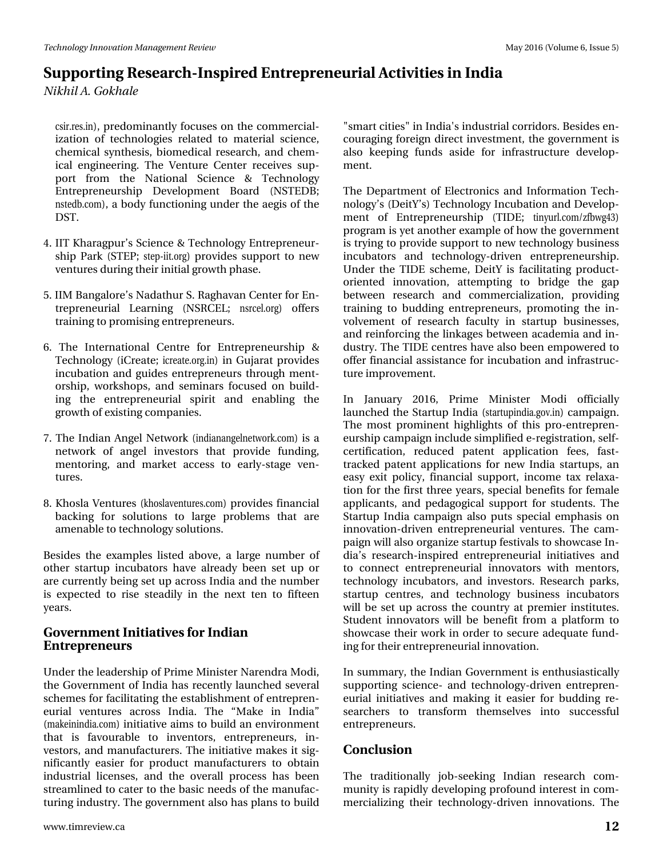# Vxssruwgi#Uhvhdufk0Lqvsluhg#Hqwuhsuhqhxuldo#Dfwlylwhv#q#Lqqld QinkidD<sup>#</sup>Utrnkddn

fvluthv1g,/#suhgrplgdqvool#trfxvhv#rg#wkh#frpphufldo0 I dw'r g#ri#whf kgrorj lhv#uhodwhg#wr#p dwhuldo#vflhgfh/# f khp If do #v| qwkhvlv/#elr p hglf do #uhvhduf k/#dqg#f khp 0 If do#hqj Iqhhulqj #Wkh#Yhqwxuh#Fhqwhu#uhfhlyhv#vxs0 sruw#iurp#wkh#Qdwlrqdo#Vflhqfh#)#Whfkqrorj|# Hawhsuhahxuvkis# Ghyhorsphaw# Erdug# +QWVHGE:# qwhgeffrp, /#d#erg|#xqfwlrqlqj#xqghu#wkh#dhjlv#ti#wkh# GW<sub>#</sub>

- 71#LLW#Nkdudjsxu\*v#Vflhqfh#)#Whfkqrorj|#Hqwuhsuhqhxu0 vkls#Sdun#AWHS:#whs0lwtuj,#surylghv#vxssruw#wr#qhz# yhqwx uhv#gx ulqj#wk hlu#qlwldo# urz wk#sk dvh1
- 8 #LIP #Edqjdoruh\*v#Qdgdvkxu#V#Udjkdydq#Fhqvhu#iru#Hq0 whsuhqhxuldo#Chduqlqi#+QVUFHO#qvufhoruj,#riihuv# wudiqiqj#wr#surplvlqj#hqwuhsuhqhxuv1#
- 9#Wkh#Lqwhuqdwlrqdo#Fhqwuh#iru#Hqwuhsuhqhxuvkls#)# Whikaroril#HFuhdwh:#fuhdwhtuj1g,#lq#Jxroludw#surylghv# lqfxedwirq#dqg#jxlghv#hqwuhsuhqhxuv#wkurxjk#phqw0 ruvkls/#zrunvkrsv/#dqg#vhplqduv#irfxvhg#rq#exlog0 lqj#wkh#hqwuhsuhqhxuldo#vslulw#dqg#hqdeolqj#wkh# jurz wk#i#h{lvwl/qj#fpsdqlhv1
- : 14AVkh#Lqgldq#Dqjhc#Qhvzrun#+lqgldqdqjhoqhvzrunfrp,#lv#d# qhwzrun#ri#dqjho#lqyhwwruw#wkdw#surylgh#ixqglqj/# p hqwr ulqj /#dqg#p dunhw#dffhw#wr#hduq 0 wdj h#yhq0 ww.uhv1
- ; 14Nkrvod#Yhqwxuhv#+mkrvodyhqwxuhvfrp,#surylghv#llqdqfldo# edfniqj#iru#vroxwlrqv#wr#odujh#sureohpv#wkdw#duh# dp hqdedn#wr#whfkqrorj|#vroxwlrqv1#

Ehvighv#wkh#h{dp sohv#olvwhg#deryh/#d#odujh#qxp ehu#ri# r wkhu#wduwxs#lqfxedwruv#kdyh#douhdg|#ehhq#vhw#xs#ru# duh#xuuhqvoo|#ehlqj#vhv#xs#dfurvv#Lqgld#dqg#wkh#qxpehu# lv#h{shfwhg#wr#ulvh#vwhdglo|#lq#wkh#qh{w#whq#wr#iliwhhq# 

#### Jryhugphqw#glwdwlyhv#ru#ggldg Ha wuhs uha hx uv

Xqghu#wkh#bndghuvkls#i#Sulph#Plqlwhu#Qduhqgud#Prgl/# wkh#Jryhuqphqw#i#Lqgld#kdv#Lhfhqwo|#xodxqfkhg#vhyhudo# vf khp hv#r u#dfldvodlgj#wkh#hvvodedvkp hqv#ri#hqvuhsuhq0 hx uldo#yhq ws uhv#df ur w#Lqqld #Wk h# <P dnh#lq#LqqldT # #pdnhlqlqgldfrp,#qlwldwlyh#dlpv#wr#exlog#dq#hqylurqphqw# wk dw#lv#idyr x udedn#wr#lqyhqwr uv/#hqwuhs uhqhx uv/#lq0 yhwr w/#dqg#p dqxidfwr uhw #Wkh#qlwdwyh#p dnhv#w#vlj 0 glilf davo) #hdvlhu#iru#surgxfw#pdgxidfwxuhuv#wr#revolla# lggx wuldd#df hgyhv/#dgg#vkh#r yhudoo#sur f hw#kdv#ehhq# wundp dighatter # dvhutter #wk http://thingv.tt/integration.com/ wsulogi#qgxwu|#Wkh#jryhuqphqw#dovr#kdv#sodqv#wr#exlog#

%/o duw#lwhv%#q#Lqqld\$v#qqxwuddo#ruulgruv#Ehvlghv#hq0 fr x udj lqj # r uhlj q#gluhfw#qyhvvp hqw#wk h# r yhuqp hqw#v# dovr#nhhslqj#ixqgv#dvlgh#iru#lqiudvwuxfwxuh#ghyhors0 p hqwl

Wikh#Ghsduwp hqw#ri#Hohfwurqlfv#dqg#Lairupdwtrq#Whfk0 gr σ i | \*v#Ghlw \*v,#Whfkgr σ i | #Lgfxedwrg#dgg#Ghyhσs0 p hqw#ri#Hqwuhsuhqhxuvkls# $-WL$ GH $#$ wlq|xuofrp2}iezj76,# surjudp#v#hw#dqrwkhu#h{dpsoh#i#krz#wkh#jryhuqphqw# lv#wullqj#wr#surylgh#vxssruw#wr#qhz#whfkqrorj|#exvlqhvv# lqf xedwr w#dqg#whfkqrorj | 0gulyhq#hqwuhsuhqhx wkls# X gghu#wk h#ANLGH#vf k hp h/#Ghlw\ #lv#idflowdwlgj#surgxfw0 r uhqwhg#lqqrydwlrq/#dwwhpswlqj#wr#eulgjh#wkh#jds# ehwz hhq#uhvhduf k#dqg#frpphufldd}dwirq/#surylglqj# wollgigi#wr#exggigi#hqwuhsuhqhxuv/#surprwlgi#wkh#iq0 yr gyhp hqw#r i#uhvhduf k#idf xow #lq#wwduwxs#exvlqhwhv/# dqg#uhlqiruflqj#wkh#Jqndjhv#ehwzhhq#dfdghpld#dqg#q0 gx wul t#Wk h#WLGH# hqwuhv#k dyh#dovr#ehhq#hp srzhuhg#wr# riihu#lqdqfldd#dwlwdqfh#ru#qfxedwlrq#dqg#qiudwuxf0 wx uh#p sur yhp hqw1#

Lq# Mdqxdu # 5349/# Sulp h# Plqlwhu# Prgl# riilfldool # odxqfkhg#wkh#A/voluwxs#Lqgld#+woluwslqgld1ry1q,#fdpsdljq1# Wikh#prw#surplqhqw#kljkoljkw#ri#wklv#sur0hqwuhsuhq0 hxuvkls#dpsdljq#qfoxgh#vlpsdilhg#n0uhjlvwudwtq/#vhoi0 f huwlifdwr g/# uhgxf hg#sdwhqw#dssolfdwr g#ihhv/#idw0 wudfnhg#sdwhqw#dssdfdwlrqv#iru#qhz#Lqgld#woduwxsv/#dq# hdv|#h{lw#srolf|/#ilqdqfldc#vxssruw#4qfrph#wd{#uhod{d0 whr q#ir u#wkh#lluw#wkuhh#hduv/#vshfldo#ehqhilw#ir u#hp doh# dssolfdqw/#dqg#shgdjrjlfdd#vxssruw#iru#vwxghqwr#Wkh# Wordunxs#Lagid#fdpsdljq#dovr#sxw#vshfldo#hpskdvlv#rq# lggr ydwr g0gulyhg#hgw.hsuhghxuldd#yhgw.uhv1#Nkh#fdp 0 sdljq#zloo#dovr#ujdql}h#wduws#hwlydov#wr#wkrzfdvh#Lq0 gld\*v#uhvhdufk0qvsluhg#hqwuhsuhqhxulda#lqlwdwyhv#dqg# w #frgghfw#hqwuhsuhghxuldo#lggrydwrw#zlwk#phqwrw/# whf kqr or j | #qf xedwr w/#dqg#lqyhwr w #Uhvhduf k #sdunv/# wduws#fhqwhv/#dqg#whfkqroril#exvlqhvv#lqfxedwruv# z loo#eh#vhw#x s#dfurvv#wk h#frx qwu|#dw#suhplhu#lqvwlwx whv # Vwsghqw#qqrydwruw#zloo#eh#ehqhilw#urp#d#sodwirup#wr# vkrz f dvh#wk hlu#z r un#lq#r ughu#wr#vhf x uh#dght x dwh#lxqg0 lgi #ru#khlu#qwuhsuhqhxuldo#qqrydwlrq#

Lq#xppdu /#wkh#Lqgldq#Jryhuqphqw#v#hqwkxvldvwlfdool# w.ssruwiqj#vflhqfh0#dqg#whfkqrorj|0gulyhq#hqwuhsuhq0 hxuldo#qlwdwyhv#dqg#pdnlqj#lw#hdvlhu#iru#exgglqj#uh0 vhduf khw# wr# wudqvirup # wkhp vhoyhv# lqwr# vxffhvvixo# 

## $F$ r qf  $\alpha$  vlr q

With # widelwir gdool # me0vhhnlgi # Lggldg# uhvhduf k # f r p 0 pxqlw|#v#udslgo|#ghyhorslgj#surirxgg#gwhuhvw#g#frp0 p hufldd}lqj#wkhlu#whfkqrorj|0gulyhq#lqqrydwlrqv\*#Wkh#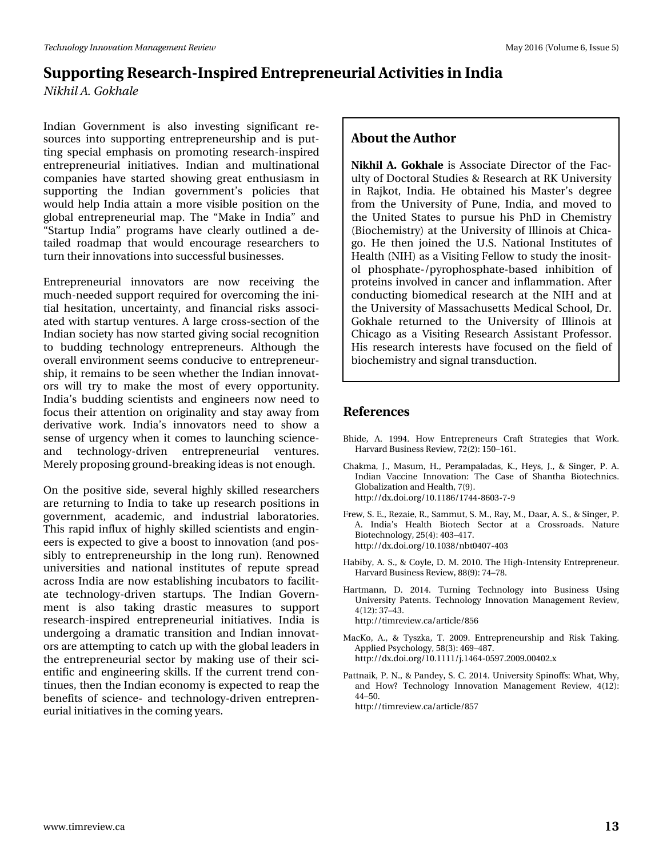## **Supporting Research-Inspired Entrepreneurial Activities in India**

*Nikhil A. Gokhale*

Indian Government is also investing significant resources into supporting entrepreneurship and is putting special emphasis on promoting research-inspired entrepreneurial initiatives. Indian and multinational companies have started showing great enthusiasm in supporting the Indian government's policies that would help India attain a more visible position on the global entrepreneurial map. The "Make in India" and "Startup India" programs have clearly outlined a detailed roadmap that would encourage researchers to turn their innovations into successful businesses.

Entrepreneurial innovators are now receiving the much-needed support required for overcoming the initial hesitation, uncertainty, and financial risks associated with startup ventures. A large cross-section of the Indian society has now started giving social recognition to budding technology entrepreneurs. Although the overall environment seems conducive to entrepreneurship, it remains to be seen whether the Indian innovators will try to make the most of every opportunity. India's budding scientists and engineers now need to focus their attention on originality and stay away from derivative work. India's innovators need to show a sense of urgency when it comes to launching scienceand technology-driven entrepreneurial ventures. Merely proposing ground-breaking ideas is not enough.

On the positive side, several highly skilled researchers are returning to India to take up research positions in government, academic, and industrial laboratories. This rapid influx of highly skilled scientists and engineers is expected to give a boost to innovation (and possibly to entrepreneurship in the long run). Renowned universities and national institutes of repute spread across India are now establishing incubators to facilitate technology-driven startups. The Indian Government is also taking drastic measures to support research-inspired entrepreneurial initiatives. India is undergoing a dramatic transition and Indian innovators are attempting to catch up with the global leaders in the entrepreneurial sector by making use of their scientific and engineering skills. If the current trend continues, then the Indian economy is expected to reap the benefits of science- and technology-driven entrepreneurial initiatives in the coming years.

#### **About the Author**

**Nikhil A. Gokhale** is Associate Director of the Faculty of Doctoral Studies & Research at RK University in Rajkot, India. He obtained his Master's degree from the University of Pune, India, and moved to the United States to pursue his PhD in Chemistry (Biochemistry) at the University of Illinois at Chicago. He then joined the U.S. National Institutes of Health (NIH) as a Visiting Fellow to study the inositol phosphate-/pyrophosphate-based inhibition of proteins involved in cancer and inflammation. After conducting biomedical research at the NIH and at the University of Massachusetts Medical School, Dr. Gokhale returned to the University of Illinois at Chicago as a Visiting Research Assistant Professor. His research interests have focused on the field of biochemistry and signal transduction.

#### **References**

- Bhide, A. 1994. How Entrepreneurs Craft Strategies that Work. Harvard Business Review, 72(2): 150–161.
- Chakma, J., Masum, H., Perampaladas, K., Heys, J., & Singer, P. A. Indian Vaccine Innovation: The Case of Shantha Biotechnics. Globalization and Health, 7(9). http://dx.doi.org/10.1186/1744-8603-7-9
- Frew, S. E., Rezaie, R., Sammut, S. M., Ray, M., Daar, A. S., & Singer, P. A. India's Health Biotech Sector at a Crossroads. Nature Biotechnology, 25(4): 403–417. http://dx.doi.org/10.1038/nbt0407-403
- Habiby, A. S., & Coyle, D. M. 2010. The High-Intensity Entrepreneur. Harvard Business Review, 88(9): 74–78.
- Hartmann, D. 2014. Turning Technology into Business Using University Patents. Technology Innovation Management Review, 4(12): 37–43. http://timreview.ca/article/856
- MacKo, A., & Tyszka, T. 2009. Entrepreneurship and Risk Taking. Applied Psychology, 58(3): 469–487. http://dx.doi.org/10.1111/j.1464-0597.2009.00402.x
- Pattnaik, P. N., & Pandey, S. C. 2014. University Spinoffs: What, Why, and How? Technology Innovation Management Review, 4(12): 44–50. http://timreview.ca/article/857